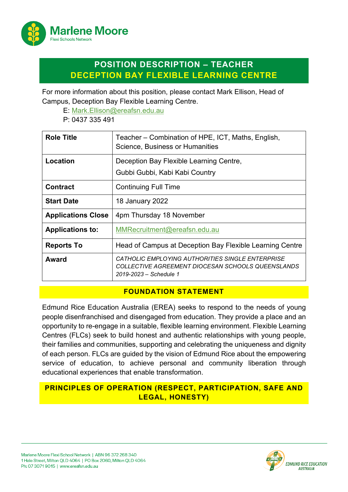

# **POSITION DESCRIPTION – TEACHER DECEPTION BAY FLEXIBLE LEARNING CENTRE**

For more information about this position, please contact Mark Ellison, Head of Campus, Deception Bay Flexible Learning Centre.

E: [Mark.Ellison@ereafsn.edu.au](mailto:Mark.Ellison@ereafsn.edu.au)

P: 0437 335 491

| <b>Role Title</b>         | Teacher – Combination of HPE, ICT, Maths, English,<br>Science, Business or Humanities                                           |
|---------------------------|---------------------------------------------------------------------------------------------------------------------------------|
| Location                  | Deception Bay Flexible Learning Centre,<br>Gubbi Gubbi, Kabi Kabi Country                                                       |
| <b>Contract</b>           | <b>Continuing Full Time</b>                                                                                                     |
| <b>Start Date</b>         | <b>18 January 2022</b>                                                                                                          |
| <b>Applications Close</b> | 4pm Thursday 18 November                                                                                                        |
| <b>Applications to:</b>   | MMRecruitment@ereafsn.edu.au                                                                                                    |
| <b>Reports To</b>         | Head of Campus at Deception Bay Flexible Learning Centre                                                                        |
| Award                     | CATHOLIC EMPLOYING AUTHORITIES SINGLE ENTERPRISE<br>COLLECTIVE AGREEMENT DIOCESAN SCHOOLS QUEENSLANDS<br>2019-2023 - Schedule 1 |

#### **FOUNDATION STATEMENT**

Edmund Rice Education Australia (EREA) seeks to respond to the needs of young people disenfranchised and disengaged from education. They provide a place and an opportunity to re-engage in a suitable, flexible learning environment. Flexible Learning Centres (FLCs) seek to build honest and authentic relationships with young people, their families and communities, supporting and celebrating the uniqueness and dignity of each person. FLCs are guided by the vision of Edmund Rice about the empowering service of education, to achieve personal and community liberation through educational experiences that enable transformation.

## **PRINCIPLES OF OPERATION (RESPECT, PARTICIPATION, SAFE AND LEGAL, HONESTY)**

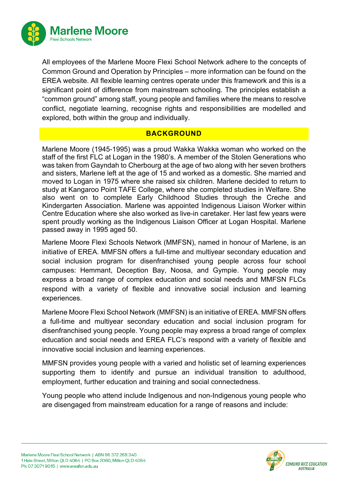

All employees of the Marlene Moore Flexi School Network adhere to the concepts of Common Ground and Operation by Principles – more information can be found on the EREA website. All flexible learning centres operate under this framework and this is a significant point of difference from mainstream schooling. The principles establish a "common ground" among staff, young people and families where the means to resolve conflict, negotiate learning, recognise rights and responsibilities are modelled and explored, both within the group and individually.

#### **BACKGROUND**

Marlene Moore (1945-1995) was a proud Wakka Wakka woman who worked on the staff of the first FLC at Logan in the 1980's. A member of the Stolen Generations who was taken from Gayndah to Cherbourg at the age of two along with her seven brothers and sisters, Marlene left at the age of 15 and worked as a domestic. She married and moved to Logan in 1975 where she raised six children. Marlene decided to return to study at Kangaroo Point TAFE College, where she completed studies in Welfare. She also went on to complete Early Childhood Studies through the Creche and Kindergarten Association. Marlene was appointed Indigenous Liaison Worker within Centre Education where she also worked as live-in caretaker. Her last few years were spent proudly working as the Indigenous Liaison Officer at Logan Hospital. Marlene passed away in 1995 aged 50.

Marlene Moore Flexi Schools Network (MMFSN), named in honour of Marlene, is an initiative of EREA. MMFSN offers a full-time and multiyear secondary education and social inclusion program for disenfranchised young people across four school campuses: Hemmant, Deception Bay, Noosa, and Gympie. Young people may express a broad range of complex education and social needs and MMFSN FLCs respond with a variety of flexible and innovative social inclusion and learning experiences.

Marlene Moore Flexi School Network (MMFSN) is an initiative of EREA. MMFSN offers a full-time and multiyear secondary education and social inclusion program for disenfranchised young people. Young people may express a broad range of complex education and social needs and EREA FLC's respond with a variety of flexible and innovative social inclusion and learning experiences.

MMFSN provides young people with a varied and holistic set of learning experiences supporting them to identify and pursue an individual transition to adulthood, employment, further education and training and social connectedness.

Young people who attend include Indigenous and non-Indigenous young people who are disengaged from mainstream education for a range of reasons and include:

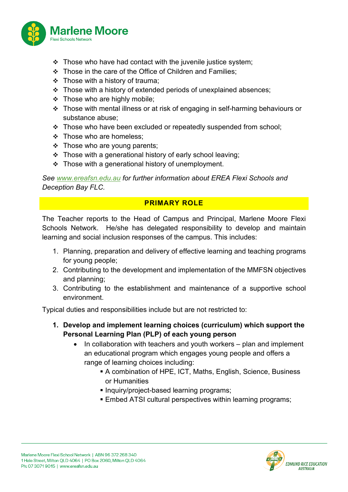

- $\cdot \cdot$  Those who have had contact with the juvenile justice system;
- Those in the care of the Office of Children and Families;
- $\div$  Those with a history of trauma;
- \* Those with a history of extended periods of unexplained absences;
- $\div$  Those who are highly mobile;
- Those with mental illness or at risk of engaging in self-harming behaviours or substance abuse;
- \* Those who have been excluded or repeatedly suspended from school;
- $\div$  Those who are homeless;
- $\div$  Those who are young parents;
- \* Those with a generational history of early school leaving;
- $\div$  Those with a generational history of unemployment.

*See [www.ereafsn.edu.au](http://www.ereafsn.edu.au/) for further information about EREA Flexi Schools and Deception Bay FLC.*

## **PRIMARY ROLE**

The Teacher reports to the Head of Campus and Principal, Marlene Moore Flexi Schools Network. He/she has delegated responsibility to develop and maintain learning and social inclusion responses of the campus. This includes:

- 1. Planning, preparation and delivery of effective learning and teaching programs for young people;
- 2. Contributing to the development and implementation of the MMFSN objectives and planning;
- 3. Contributing to the establishment and maintenance of a supportive school environment.

Typical duties and responsibilities include but are not restricted to:

- **1. Develop and implement learning choices (curriculum) which support the Personal Learning Plan (PLP) of each young person** 
	- In collaboration with teachers and youth workers plan and implement an educational program which engages young people and offers a range of learning choices including:
		- A combination of HPE, ICT, Maths, English, Science, Business or Humanities
		- **Inquiry/project-based learning programs;**
		- **Embed ATSI cultural perspectives within learning programs;**



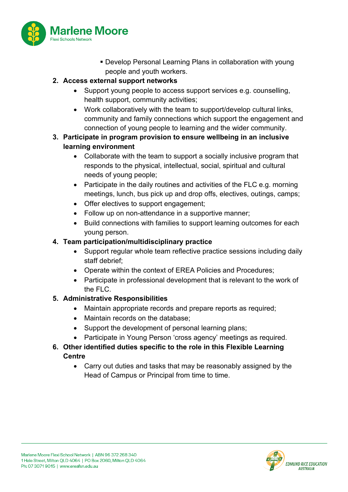

 Develop Personal Learning Plans in collaboration with young people and youth workers.

### **2. Access external support networks**

- Support young people to access support services e.g. counselling, health support, community activities;
- Work collaboratively with the team to support/develop cultural links, community and family connections which support the engagement and connection of young people to learning and the wider community.

#### **3. Participate in program provision to ensure wellbeing in an inclusive learning environment**

- Collaborate with the team to support a socially inclusive program that responds to the physical, intellectual, social, spiritual and cultural needs of young people;
- Participate in the daily routines and activities of the FLC e.g. morning meetings, lunch, bus pick up and drop offs, electives, outings, camps;
- Offer electives to support engagement;
- Follow up on non-attendance in a supportive manner;
- Build connections with families to support learning outcomes for each young person.

### **4. Team participation/multidisciplinary practice**

- Support regular whole team reflective practice sessions including daily staff debrief;
- Operate within the context of EREA Policies and Procedures;
- Participate in professional development that is relevant to the work of the FLC.

## **5. Administrative Responsibilities**

- Maintain appropriate records and prepare reports as required;
- Maintain records on the database;
- Support the development of personal learning plans;
- Participate in Young Person 'cross agency' meetings as required.

### **6. Other identified duties specific to the role in this Flexible Learning Centre**

• Carry out duties and tasks that may be reasonably assigned by the Head of Campus or Principal from time to time.